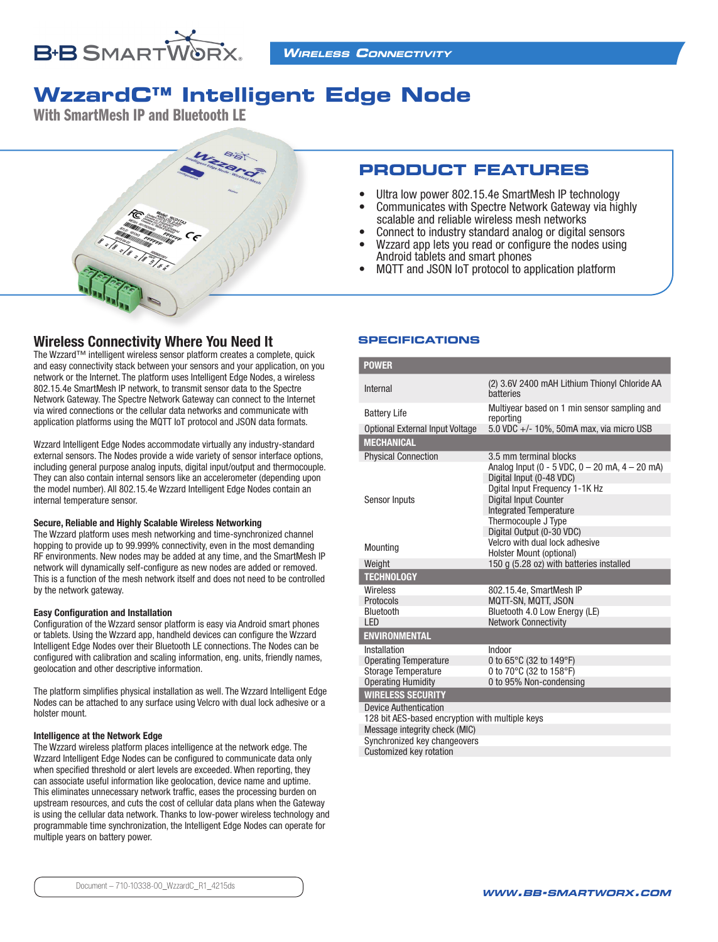

# **WzzardC™ Intelligent Edge Node**

With SmartMesh IP and Bluetooth LE



## Wireless Connectivity Where You Need It

The Wzzard™ intelligent wireless sensor platform creates a complete, quick and easy connectivity stack between your sensors and your application, on you network or the Internet. The platform uses Intelligent Edge Nodes, a wireless 802.15.4e SmartMesh IP network, to transmit sensor data to the Spectre Network Gateway. The Spectre Network Gateway can connect to the Internet via wired connections or the cellular data networks and communicate with application platforms using the MQTT IoT protocol and JSON data formats.

Wzzard Intelligent Edge Nodes accommodate virtually any industry-standard external sensors. The Nodes provide a wide variety of sensor interface options, including general purpose analog inputs, digital input/output and thermocouple. They can also contain internal sensors like an accelerometer (depending upon the model number). All 802.15.4e Wzzard Intelligent Edge Nodes contain an internal temperature sensor.

#### Secure, Reliable and Highly Scalable Wireless Networking

The Wzzard platform uses mesh networking and time-synchronized channel hopping to provide up to 99.999% connectivity, even in the most demanding RF environments. New nodes may be added at any time, and the SmartMesh IP network will dynamically self-configure as new nodes are added or removed. This is a function of the mesh network itself and does not need to be controlled by the network gateway.

#### Easy Configuration and Installation

Configuration of the Wzzard sensor platform is easy via Android smart phones or tablets. Using the Wzzard app, handheld devices can configure the Wzzard Intelligent Edge Nodes over their Bluetooth LE connections. The Nodes can be configured with calibration and scaling information, eng. units, friendly names, geolocation and other descriptive information.

The platform simplifies physical installation as well. The Wzzard Intelligent Edge Nodes can be attached to any surface using Velcro with dual lock adhesive or a holster mount.

#### Intelligence at the Network Edge

The Wzzard wireless platform places intelligence at the network edge. The Wzzard Intelligent Edge Nodes can be configured to communicate data only when specified threshold or alert levels are exceeded. When reporting, they can associate useful information like geolocation, device name and uptime. This eliminates unnecessary network traffic, eases the processing burden on upstream resources, and cuts the cost of cellular data plans when the Gateway is using the cellular data network. Thanks to low-power wireless technology and programmable time synchronization, the Intelligent Edge Nodes can operate for multiple years on battery power.

# **PRODUCT FEATURES**

- Ultra low power 802.15.4e SmartMesh IP technology<br>• Communicates with Spectre Network Gateway via high-
- Communicates with Spectre Network Gateway via highly scalable and reliable wireless mesh networks
- Connect to industry standard analog or digital sensors • Wzzard app lets you read or configure the nodes using
- Android tablets and smart phones<br>• MOTT and JSON IoT protocol to an
- MQTT and JSON IoT protocol to application platform

#### **SPECIFICATIONS**

| <b>POWER</b>                                                  |                                                                |
|---------------------------------------------------------------|----------------------------------------------------------------|
| Internal                                                      | (2) 3.6V 2400 mAH Lithium Thionyl Chloride AA<br>hatteries     |
| <b>Battery Life</b>                                           | Multiyear based on 1 min sensor sampling and<br>reporting      |
| Optional External Input Voltage                               | 5.0 VDC +/- 10%, 50mA max, via micro USB                       |
| <b>MECHANICAL</b>                                             |                                                                |
| <b>Physical Connection</b>                                    | 3.5 mm terminal blocks                                         |
|                                                               | Analog Input (0 - 5 VDC, $0 - 20$ mA, $4 - 20$ mA)             |
|                                                               | Digital Input (0-48 VDC)                                       |
| Sensor Inputs                                                 | Dgital Input Frequency 1-1K Hz<br><b>Digital Input Counter</b> |
|                                                               | <b>Integrated Temperature</b>                                  |
|                                                               | Thermocouple J Type                                            |
|                                                               | Digital Output (0-30 VDC)                                      |
| Mounting                                                      | Velcro with dual lock adhesive                                 |
|                                                               | Holster Mount (optional)                                       |
| Weight                                                        | 150 g (5.28 oz) with batteries installed                       |
| <b>TECHNOLOGY</b>                                             |                                                                |
| <b>Wireless</b>                                               | 802.15.4e, SmartMesh IP                                        |
| Protocols                                                     | MQTT-SN, MQTT, JSON                                            |
| Bluetooth                                                     | Bluetooth 4.0 Low Energy (LE)                                  |
| LED                                                           | <b>Network Connectivity</b>                                    |
| <b>ENVIRONMENTAL</b>                                          |                                                                |
| Installation                                                  | Indoor                                                         |
| <b>Operating Temperature</b>                                  | 0 to 65°C (32 to 149°F)                                        |
| <b>Storage Temperature</b>                                    | 0 to 70°C (32 to 158°F)                                        |
| <b>Operating Humidity</b>                                     | 0 to 95% Non-condensing                                        |
| <b>WIRELESS SECURITY</b>                                      |                                                                |
| <b>Device Authentication</b>                                  |                                                                |
| 128 bit AES-based encryption with multiple keys               |                                                                |
| Message integrity check (MIC)<br>Synchronized key changeovers |                                                                |
|                                                               |                                                                |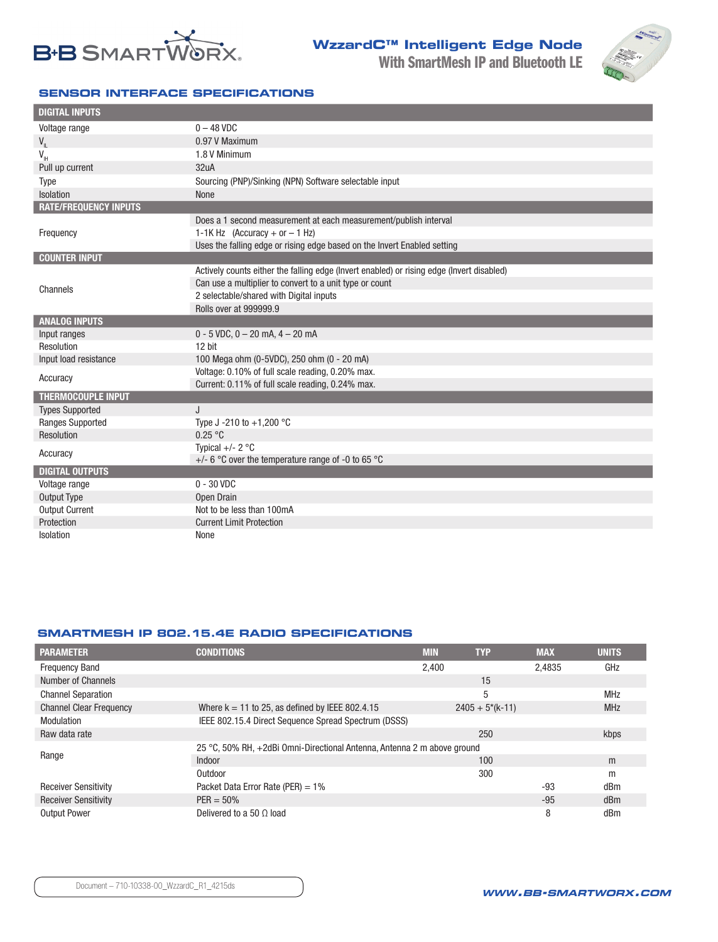

**WzzardC™ Intelligent Edge Node** With SmartMesh IP and Bluetooth LE



#### **SENSOR INTERFACE SPECIFICATIONS**

| <b>DIGITAL INPUTS</b>        |                                                                                           |
|------------------------------|-------------------------------------------------------------------------------------------|
| Voltage range                | $0 - 48$ VDC                                                                              |
| $V_{\parallel}$              | 0.97 V Maximum                                                                            |
| $V_{\text{H}}$               | 1.8 V Minimum                                                                             |
| Pull up current              | 32uA                                                                                      |
| <b>Type</b>                  | Sourcing (PNP)/Sinking (NPN) Software selectable input                                    |
| Isolation                    | None                                                                                      |
| <b>RATE/FREQUENCY INPUTS</b> |                                                                                           |
|                              | Does a 1 second measurement at each measurement/publish interval                          |
| Frequency                    | 1-1K Hz (Accuracy + or $-$ 1 Hz)                                                          |
|                              | Uses the falling edge or rising edge based on the Invert Enabled setting                  |
| <b>COUNTER INPUT</b>         |                                                                                           |
|                              | Actively counts either the falling edge (Invert enabled) or rising edge (Invert disabled) |
| Channels                     | Can use a multiplier to convert to a unit type or count                                   |
|                              | 2 selectable/shared with Digital inputs                                                   |
|                              | Rolls over at 999999.9                                                                    |
| <b>ANALOG INPUTS</b>         |                                                                                           |
| Input ranges                 | $0 - 5$ VDC, $0 - 20$ mA, $4 - 20$ mA                                                     |
| Resolution                   | 12 bit                                                                                    |
| Input load resistance        | 100 Mega ohm (0-5VDC), 250 ohm (0 - 20 mA)                                                |
| Accuracy                     | Voltage: 0.10% of full scale reading, 0.20% max.                                          |
| <b>THERMOCOUPLE INPUT</b>    | Current: 0.11% of full scale reading, 0.24% max.                                          |
| <b>Types Supported</b>       | J                                                                                         |
| <b>Ranges Supported</b>      | Type J -210 to $+1,200$ °C                                                                |
| Resolution                   | 0.25 °C                                                                                   |
|                              | Typical $+/- 2$ °C                                                                        |
| Accuracy                     | +/- 6 °C over the temperature range of -0 to 65 °C                                        |
| <b>DIGITAL OUTPUTS</b>       |                                                                                           |
| Voltage range                | $0 - 30$ VDC                                                                              |
| Output Type                  | Open Drain                                                                                |
| <b>Output Current</b>        | Not to be less than 100mA                                                                 |
| Protection                   | <b>Current Limit Protection</b>                                                           |
| Isolation                    | None                                                                                      |

#### **SMARTMESH IP 802.15.4E RADIO SPECIFICATIONS**

| <b>PARAMETER</b>               | <b>CONDITIONS</b>                                                       | <b>MIN</b> | <b>TYP</b>        | <b>MAX</b> | <b>UNITS</b> |  |
|--------------------------------|-------------------------------------------------------------------------|------------|-------------------|------------|--------------|--|
| <b>Frequency Band</b>          |                                                                         | 2.400      |                   | 2.4835     | GHz          |  |
| Number of Channels             |                                                                         |            | 15                |            |              |  |
| <b>Channel Separation</b>      |                                                                         |            | 5                 |            | <b>MHz</b>   |  |
| <b>Channel Clear Frequency</b> | Where $k = 11$ to 25, as defined by IEEE 802.4.15                       |            | $2405 + 5*(k-11)$ |            | <b>MHz</b>   |  |
| Modulation                     | IEEE 802.15.4 Direct Sequence Spread Spectrum (DSSS)                    |            |                   |            |              |  |
| Raw data rate                  |                                                                         |            | 250               |            | kbps         |  |
|                                | 25 °C, 50% RH, +2dBi Omni-Directional Antenna, Antenna 2 m above ground |            |                   |            |              |  |
| Range                          | Indoor                                                                  |            | 100               |            | m            |  |
|                                | Outdoor                                                                 |            | 300               |            | m            |  |
| <b>Receiver Sensitivity</b>    | Packet Data Error Rate (PER) = $1\%$                                    |            |                   | $-93$      | dBm          |  |
| <b>Receiver Sensitivity</b>    | $PER = 50%$                                                             |            |                   | $-95$      | dBm          |  |
| <b>Output Power</b>            | Delivered to a 50 $\Omega$ load                                         |            |                   | 8          | dBm          |  |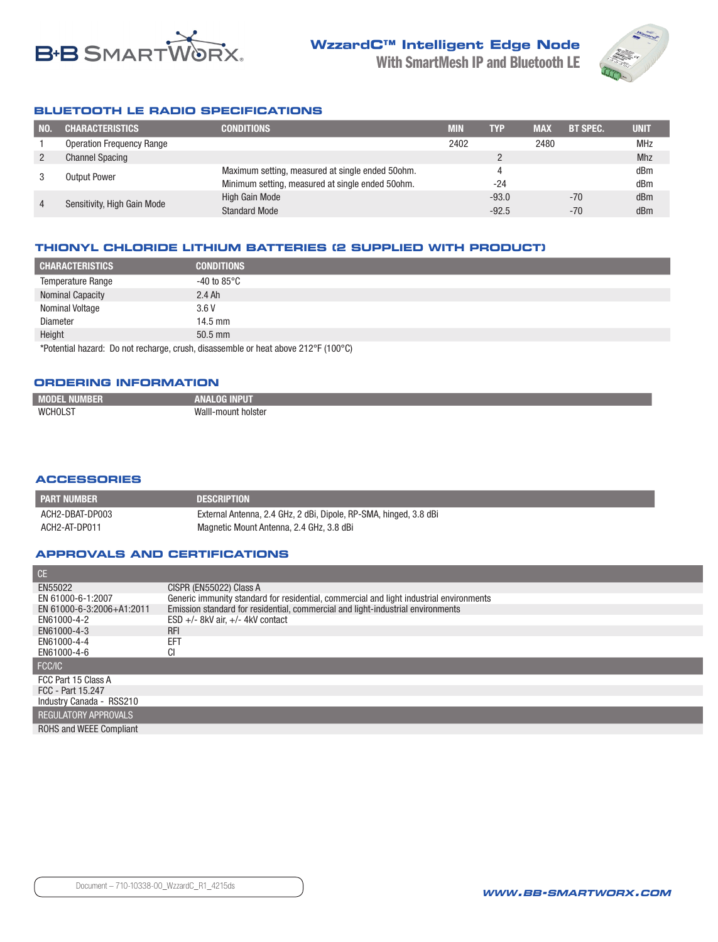



### **BLUETOOTH LE RADIO SPECIFICATIONS**

| NO.                         | <b>CHARACTERISTICS</b>           | <b>CONDITIONS</b>                                | <b>MIN</b> | <b>TYP</b> | <b>MAX</b> | <b>BT SPEC.</b> | <b>UNIT</b> |
|-----------------------------|----------------------------------|--------------------------------------------------|------------|------------|------------|-----------------|-------------|
|                             | <b>Operation Frequency Range</b> |                                                  | 2402       |            | 2480       |                 | <b>MHz</b>  |
| 2                           | <b>Channel Spacing</b>           |                                                  |            |            |            |                 | Mhz         |
|                             | <b>Output Power</b>              | Maximum setting, measured at single ended 50ohm. |            |            |            |                 | dBm         |
|                             |                                  | Minimum setting, measured at single ended 50ohm. |            | -24        |            |                 | dBm         |
| Sensitivity, High Gain Mode |                                  | High Gain Mode                                   |            | $-93.0$    |            | $-70$           | dBm         |
|                             |                                  | <b>Standard Mode</b>                             |            | $-92.5$    |            | $-70$           | dBm         |

#### **THIONYL CHLORIDE LITHIUM BATTERIES (2 SUPPLIED WITH PRODUCT)**

| <b>CHARACTERISTICS</b>                                                             | <b>CONDITIONS</b>      |  |
|------------------------------------------------------------------------------------|------------------------|--|
| <b>Temperature Range</b>                                                           | -40 to 85 $^{\circ}$ C |  |
| <b>Nominal Capacity</b>                                                            | $2.4 \text{ Ah}$       |  |
| <b>Nominal Voltage</b>                                                             | 3.6V                   |  |
| <b>Diameter</b>                                                                    | $14.5$ mm              |  |
| Height                                                                             | $50.5$ mm              |  |
| *Potential hazard: Do not recharge, crush, disassemble or heat above 212°F (100°C) |                        |  |

#### **ORDERING INFORMATION**

| MOD.<br>MUN | 20                       |
|-------------|--------------------------|
| WCHOL ST    | Walll-mount<br>* holster |

#### **ACCESSORIES**

| I PART NUMBER   | <b>DESCRIPTION</b>                                                |
|-----------------|-------------------------------------------------------------------|
| ACH2-DBAT-DP003 | External Antenna, 2.4 GHz, 2 dBi, Dipole, RP-SMA, hinged, 3.8 dBi |
| ACH2-AT-DP011   | Magnetic Mount Antenna, 2.4 GHz, 3.8 dBi                          |

#### **APPROVALS AND CERTIFICATIONS**

| CE.                            |                                                                                         |
|--------------------------------|-----------------------------------------------------------------------------------------|
| EN55022                        | CISPR (EN55022) Class A                                                                 |
| EN 61000-6-1:2007              | Generic immunity standard for residential, commercial and light industrial environments |
| EN 61000-6-3:2006+A1:2011      | Emission standard for residential, commercial and light-industrial environments         |
| EN61000-4-2                    | $ESD +/- 8kV$ air, $+/- 4kV$ contact                                                    |
| EN61000-4-3                    | <b>RFI</b>                                                                              |
| EN61000-4-4                    | EFT                                                                                     |
| EN61000-4-6                    |                                                                                         |
| FCC/IC                         |                                                                                         |
| FCC Part 15 Class A            |                                                                                         |
| FCC - Part 15.247              |                                                                                         |
| Industry Canada - RSS210       |                                                                                         |
| <b>REGULATORY APPROVALS</b>    |                                                                                         |
| <b>ROHS and WEEE Compliant</b> |                                                                                         |